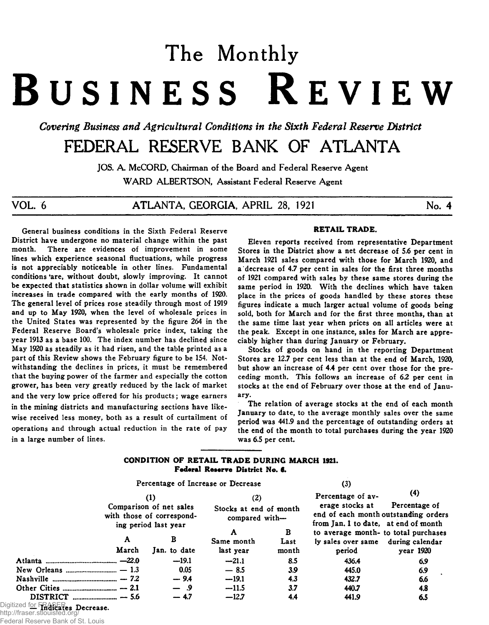# The Monthly B usiness R eview

*Covering Business and Agricultural Conditions in the Sixth Federal Reserve District* 

# FEDERAL RESERVE BANK OF ATLANTA

JOS. A. McCORD, Chairman of the Board and Federal Reserve Agent WARD ALBERTSON, Assistant Federal Reserve Agent

V O L. 6 A T L A N T A , G EO RG IA , A PR IL 28, 1921 No. 4

General business conditions in the Sixth Federal Reserve District have undergone no material change within the past There are evidences of improvement in some lines which experience seasonal fluctuations, while progress is not appreciably noticeable in other lines. Fundamental conditions 'are, without doubt, slowly improving. It cannot be expected that statistics shown in dollar volume will exhibit increases in trade compared with the early months of 1920. The general level of prices rose steadily through most of 1919 and up to May 1920, when the level of wholesale prices in the United States was represented by the figure 264 in the Federal Reserve Board's wholesale price index, taking the year 1913 as a base 100. The index number has declined since May 1920 as steadily as it had risen, and the table printed as a part of this Review shows the February figure to be 154. Notwithstanding the declines in prices, it must be remembered that the buying power of the farmer and especially the cotton grower, has been very greatly reduced by the lack of market and the very low price offered for his products; wage earners in the mining districts and manufacturing sections have likewise received less money, both as a result of curtailment of operations and through actual reduction in the rate of pay in a large number of lines.

#### **RETAIL TRADE.**

Eleven reports received from representative Department Stores in the District show a net decrease of 5.6 per cent in March 1921 sales compared with those for March 1920, and a decrease of 4.7 per cent in sales for the first three months of 1921 compared with sales by these same stores during the same period in 1920. With the declines which have taken place in the prices of goods handled by these stores these figures indicate a much larger actual volume of goods being sold, both for March and for the first three months, than at the same time last year when prices on all articles were at the peak. Except in one instance, sales for March are appreciably higher than during January or February.

Stocks of goods on hand in the reporting Department Stores are 12.7 per cent less than at the end of March, 1920, but show an increase of 4.4 per cent over those for the preceding month. This follows an increase of *62* per cent in stocks at the end of February over those at the end of January.

The relation of average stocks at the end of each month January to date, to the average monthly sales over the same period was 441.9 and the percentage of outstanding orders at the end of the month to total purchases during the year 1920 was 6.5 per cent.

# **CONDITION OF RETAIL TRADE DURING MARCH 1921. Federal Reserve District No. 6.**

|                         |                                                                              | Percentage of Increase or Decrease                                                                                                          |           | (3)                                                                        |           |
|-------------------------|------------------------------------------------------------------------------|---------------------------------------------------------------------------------------------------------------------------------------------|-----------|----------------------------------------------------------------------------|-----------|
|                         | $\bf(1)$                                                                     | (2)                                                                                                                                         |           | Percentage of av-                                                          | (4)       |
|                         | Comparison of net sales<br>with those of correspond-<br>ing period last year | erage stocks at<br>Stocks at end of month<br>end of each month outstanding order.<br>compared with-<br>from Jan. 1 to date, at end of month |           | Percentage of                                                              |           |
| A                       | в                                                                            | A<br>Same month                                                                                                                             | B<br>Last | to average month- to total purchases<br>ly sales over same during calendar |           |
| March                   | Jan. to date                                                                 | last year                                                                                                                                   | month     | period                                                                     | year 1920 |
|                         | $-19.1$                                                                      | $-21.1$                                                                                                                                     | 8.5       | 436.4                                                                      | 6.9       |
|                         | 0.05                                                                         | $-8.5$                                                                                                                                      | 3.9       | 445.0                                                                      | 6.9       |
|                         | $-9.4$                                                                       | $-19.1$                                                                                                                                     | 4.3       | 432.7                                                                      | 6.6       |
|                         | $-$ 9                                                                        | $-11.5$                                                                                                                                     | 3.7       | 440.7                                                                      | 4.8       |
| --- <i>1--</i> FD A OED | $-47$                                                                        | $-12.7$                                                                                                                                     | 4.4       | 441.9                                                                      | 6.5       |

Digitized for FRASERes Decrease. http://fraser.stlouisfed.org/

Federal Reserve Bank of St. Louis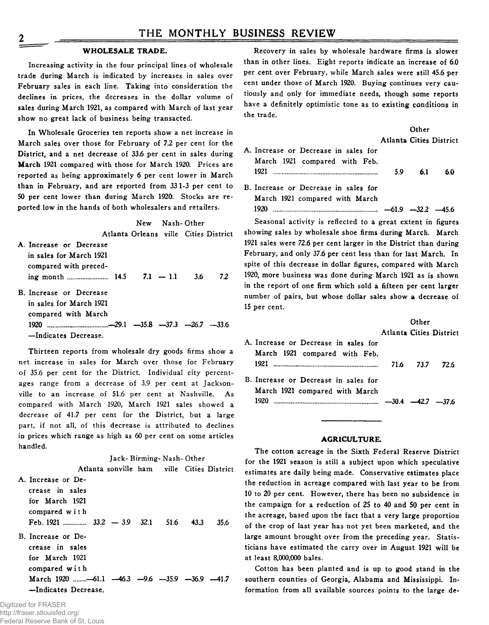#### **WHOLESALE TRADE.**

**Increasing activity in the four principal lines of wholesale trade during March is indicated by increases in sales over February sales in each line. Taking into consideration the declines in prices, the decreases in the dollar volume of sales during March 1921, as compared with March of last year show no great lack of business being transacted.**

**In Wholesale Groceries ten reports show a net increase in March sales over those for February of 7.2 per cent for the District, and a net decrease of 33.6 per cent in sales during March 1921 compared with those for March 1920. Prices are reported as being approximately 6 per cent lower in March than in February, and are reported from 33 1-3 per cent to 50 per cent lower than during March 1920. Stocks are reported low in the hands of both wholesalers and retailers.**

**New Nash-Other Atlanta Orleans ville Cities District A. Increase or Decrease in sales for March 1921 compared with preceding month................... 14.5 7.1 — 1.1 3.6** *72* **B. Increase or Decrease in sales for March 1921 compared with March**

**Thirteen reports from wholesale dry goods firms show a net increase in sales for March over those for February of 35.6 per cent for the District. Individual city percentages range from a decrease of 3.9 per cent at Jacksonville to an increase of 51.6 per cent at Nashville. As compared with March 1920, March 1921 sales showed a decrease of 41.7 per cent for the District, but a large part, if not all, of this decrease is attributed to declines in prices which range as high as 60 per cent on some articles handled.**

**1920 .—29.1 —35.8 —37.3 —26.7 —33.6**

**—Indicates Decrease.**

**Jack- Birming- Nash- Other**

**Atlanta sonville ham ville Cities District A. Increase or Decrease in sales for March 1921 compared with Feb. 1921 ........... 33.2 — 3.9 32.1 51.6 43.3 35.6 B. Increase or Decrease in sales for March 1921 compared with March 1920 ......-61.1 —46.3 —9.6 —35.9 —36.9 —41.7 —Indicates Decrease.**

**Recovery in sales by wholesale hardware firms is slower than in other lines. Eight reports indicate an increase of 6.0 per cent over February, while March sales were still 45.6 per cent under those of March 1920. Buying continues very cautiously and only for immediate needs, though some reports have a definitely optimistic tone as to existing conditions in the trade.**

|                                                                       |                                | Other |     |
|-----------------------------------------------------------------------|--------------------------------|-------|-----|
|                                                                       | <b>Atlanta Cities District</b> |       |     |
| A. Increase or Decrease in sales for<br>March 1921 compared with Feb. |                                |       |     |
|                                                                       | 5.9                            | 6.1   | 6.0 |
| B. Increase or Decrease in sales for                                  |                                |       |     |
| March 1921 compared with March                                        |                                |       |     |
| 1920.<br>$\ldots$ $-61.9$ $-32.2$ $-45.6$                             |                                |       |     |

**Seasonal activity is reflected to a great extent in figures showing sales by wholesale shoe firms during March. March 1921 sales were 72.6 per cent larger in the District than during February, and only 37.6 per cent less than for last March. In spite of this decrease in dollar figures, compared with March 1920, more business was done during March 1921 as is shown in the report of one firm which sold a fifteen per cent larger number of pairs, but whose dollar sales show a decrease of 15 per cent.**

|                                                                        |      | Other |                         |
|------------------------------------------------------------------------|------|-------|-------------------------|
|                                                                        |      |       | Atlanta Cities District |
| A. Increase or Decrease in sales for                                   |      |       |                         |
| March 1921 compared with Feb.                                          | 71.6 | 737   | 72 G                    |
| B. Increase or Decrease in sales for<br>March 1921 compared with March |      |       |                         |
| 1920.<br>$\ldots$ $-30.4$ $-42.7$ $-37.6$                              |      |       |                         |

# **AGRICULTURE.**

**The cotton acreage in the Sixth Federal Reserve District for the 1921 season is still a subject upon which speculative estimates are daily being made. Conservative estimates place the reduction in acreage compared with last year to be from 10 to 20 per cent. However, there has been no subsidence in the campaign for a reduction of 25 to 40 and 50 per cent in the acreage, based upon the fact that a very large proportion of the crop of last year has not yet been marketed, and the large amount brought over from the preceding year. Statisticians have estimated the carry over in August 1921 will be at least 8,000,000 bales.**

**Cotton has been planted and is up to good stand in the southern counties of Georgia, Alabama and Mississippi. Information from all available sources points to the large de-**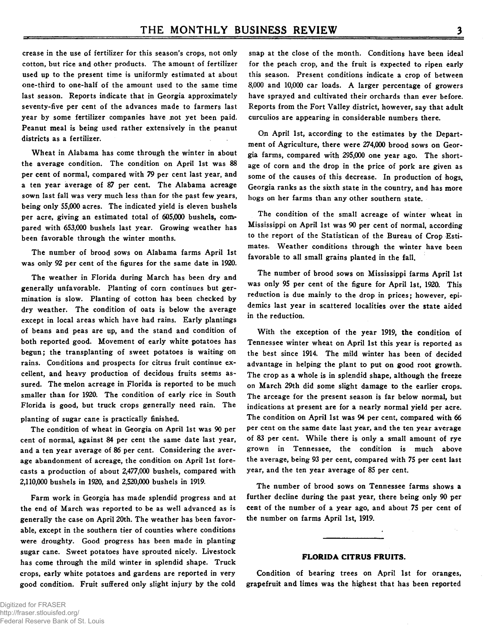crease in the use of fertilizer for this season's crops, not only cotton, but rice and other products. The amount of fertilizer used up to the present time is uniformly estimated at about one-third to one-half of the amount used to the same time last season. Reports indicate that in Georgia approximately seventy-five per cent of the advances made to farmers last year by some fertilizer companies have not yet been paid. Peanut meal is being used rather extensively in the peanut districts as a fertilizer.

Wheat in Alabama has come through the winter in about the average condition. The condition on April 1st was 88 per cent of normal, compared with 79 per cent last year, and a ten year average of 87 per cent. The Alabama acreage sown last fall was very much less than for the past few years, being only 55,000 acres. The indicated yield is eleven bushels per acre, giving an estimated total of 605,000 bushels, compared with 653,000 bushels last year. Growing weather has been favorable through the winter months.

The number of brood sows on Alabama farms April 1st was only 92 per cent of the figures for the same date in 1920.

The weather in Florida during March has been dry and generally unfavorable. Planting of corn continues but germination is slow. Planting of cotton has been checked by dry weather. The condition of oats is below the average except in local areas which have had rains. Early plantings of beans and peas are up, and the stand and condition of both reported good. Movement of early white potatoes has begun; the transplanting of sweet potatoes is waiting on rains. Conditions and prospects for citrus fruit continue excellent, and heavy production of decidous fruits seems assured. The melon acreage in Florida is reported to be much smaller than for 1920. The condition of early rice in South Florida is good, but truck crops generally need rain. The

planting of sugar cane is practically finished.

The condition of wheat in Georgia on April 1st was 90 per cent of normal, against 84 per cent the same date last year, and a ten year average of 86 per cent. Considering the average abandonment of acreage, the condition on April 1st forecasts a production of about 2,477,000 bushels, compared with 2,110,000 bushels in 1920, and 2,520,000 bushels in 1919.

Farm work in Georgia has made splendid progress and at the end of March was reported to be as well advanced as is generally the case on April 20th. The weather has been favorable, except in the southern tier of counties where conditions were droughty. Good progress has been made in planting sugar cane. Sweet potatoes have sprouted nicely. Livestock has come through the mild winter in splendid shape. Truck crops, early white potatoes and gardens are reported in very good condition. Fruit suffered only slight injury by the cold

snap at the close of the month. Conditions have been ideal for the peach crop, and the fruit is expected to ripen early this season. Present conditions indicate a crop of between 8,000 and 10,000 car loads. A larger percentage of growers have sprayed and cultivated their orchards than ever before. Reports from the Fort Valley district, however, say that adult curculios are appearing in considerable numbers there.

On April 1st, according to the estimates by the Department of Agriculture, there were 274,000 brood sows on Georgia farms, compared with 295,000 one year ago. The shortage of corn and the drop in the price of pork are given as some of the causes of this decrease. In production of hogs, Georgia ranks as the sixth state in the country, and has more hogs on her farms than any other southern state.

The condition of the small acreage of winter wheat in Mississippi on April 1st was 90 per cent of normal, according to the report of the Statistican of the Bureau of Crop Estimates. Weather conditions through the winter have been favorable to all small grains planted in the fall.

The number of brood sows on Mississippi farms April 1st was only 95 per cent of the figure for April 1st, 1920. This reduction is due mainly to the drop in prices; however, epidemics last year in scattered localities over the state aided in the reduction.

With the exception of the year 1919, the condition of Tennessee winter wheat on April 1st this year is reported as the best since 1914. The mild winter has been of decided advantage in helping the plant to put on good root growth. The crop as a whole is in splendid shape, although the freeze on March 29th did some slight damage to the earlier crops. The arceage for the present season is far below normal, but indications at present are for a nearly normal yield per acre. The condition on April 1st was 94 per cent, compared with 66 per cent on the same date last year, and the ten year average of 83 per cent. While there is only a small amount of rye grown in Tennessee, the condition is much above the average, being 93 per cent, compared with 75 per cent last year, and the ten year average of 85 per cent.

The number of brood sows on Tennessee farms shows a further decline during the past year, there being only 90 per cent of the number of a year ago, and about 75 per cent of the number on farms April 1st, 1919.

#### **FLORIDA CITRUS FRUITS.**

Condition of bearing trees on April 1st for oranges, grapefruit and limes was the highest that has been reported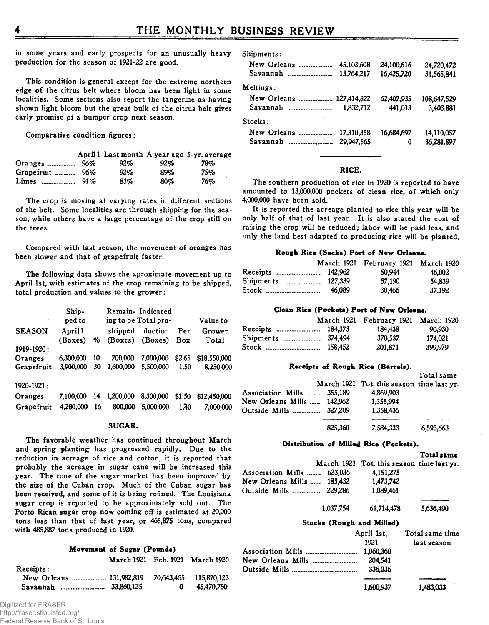in some years and early prospects for an unusually heavy production for the season of 1921-22 are good.

This condition is general except for the extreme northern edge of the citrus belt where bloom has been light in some localities. Some sections also report the tangerine as having shown light bloom but the great bulk of the citrus belt gives early promise of a bumper crop next season.

Comparative condition figures:

|                 |        |     | April 1 Last month A year ago 5-yr. average |
|-----------------|--------|-----|---------------------------------------------|
|                 | $92\%$ | 92% | 78%                                         |
| Grapefruit  96% | 92%    | 89% | 75%                                         |
|                 | 83%    | 80% | 76%                                         |

The crop is moving at varying rates in different sections of the belt. Some localities are through shipping for the season, while others have a large percentage of the crop still on the trees.

Compared with last season, the movement of oranges has been slower and that of grapefruit faster.

The following data shows the aproximate movement up to April 1st, with estimates of the crop remaining to be shipped, total production and values to the grower:

|                                     | Ship-<br>ped to        |           |                      | Remain- Indicated<br>ing to be Total pro- |                | Value to                  |
|-------------------------------------|------------------------|-----------|----------------------|-------------------------------------------|----------------|---------------------------|
| <b>SEASON</b>                       | April 1                | %         | shipped              | duction                                   | Per            | Grower                    |
| 1919-1920:                          | (Boxes)                |           | (Boxes)              | (Boxes)                                   | Box            | Total                     |
| Oranges                             | 6.300.000              | 10        | 700,000              | 7,000,000                                 | \$2.65         | \$18,550,000              |
| Grapefruit                          | 3,900,000              | 30        | 1.600.000            | 5.500,000                                 | 1.50           | 8,250,000                 |
| 1920-1921:<br>Oranges<br>Grapefruit | 7.100.000<br>4.200.000 | 14<br>-16 | 1.200.000<br>800,000 | 8,300,000<br>5.000,000                    | \$1.50<br>1.40 | \$12,450,000<br>7.000.000 |

#### **SUGAR.**

The favorable weather has continued throughout March and spring planting has progressed rapidly. Due to the reduction in acreage of rice and cotton, it is reported that probably the acreage in sugar cane will be increased this year. The tone of the sugar market has been improved by the size of the Cuban crop. Much of the Cuban sugar has been received, and some of it is being refined. The Louisiana sugar crop is reported to be approximately sold out. The Porto Rican sugar crop now coming off is estimated at 20,000 tons less than that of last year, or 465,875 tons, compared with 485,887 tons produced in 1920.

#### **Movement of Sugar (Pounds)**

|                          |   | March 1921 Feb. 1921 March 1920 |
|--------------------------|---|---------------------------------|
| Receipts:                |   |                                 |
| New Orleans  131,982,819 |   | 70.643.465 115.870.123          |
|                          | 0 | 45.470.750                      |

Digitized for FRASER http://fraser.stlouisfed.org/ Federal Reserve Bank of St. Louis

| Shipments: |  |
|------------|--|
|------------|--|

| New Orleans              | 45,103,608 | 24.100.616 | 24,720,472  |
|--------------------------|------------|------------|-------------|
| Savannah<br>$\cdots$     | 13.764.217 | 16.425.720 | 31,565,841  |
| Meltings:                |            |            |             |
| New Orleans  127,414,822 |            | 62,407,935 | 108,647,529 |
| Savannah<br>             | 1.832.712  | 441,013    | 3.403.881   |
| Stocks:                  |            |            |             |
| New Orleans              | 17,310,358 | 16.684.697 | 14.110.057  |
| Savannah<br>$\cdots$     | 29,947,565 | 0          | 36,281.897  |

#### **RICE.**

The southern production of rice in 1920 is reported to have amounted to 13,000,000 pockets of clean rice, of which only 4,000,000 have been sold.

It is reported the acreage planted to rice this year will be only half of that of last year. It is also stated the cost of raising the crop will be reduced; labor will be paid less, and only the land best adapted to producing rice will be planted.

#### **Rough Rice (Sacks) Port of New Orleans.**

|                   |        | March 1921 February 1921 March 1920 |        |
|-------------------|--------|-------------------------------------|--------|
| Receipts  142,962 |        | 50.944                              | 46.002 |
|                   |        | 57.190                              | 54,839 |
| Stock             | 46.089 | 30.466                              | 37.192 |

#### **Clean Rice (Pockets) Port of New Orleans.**

|                   | March 1921 February 1921 March 1920 |         |
|-------------------|-------------------------------------|---------|
| Receipts  184,373 | 184.438                             | 90.930  |
|                   | 370.537                             | 174.021 |
|                   | 201.871                             | 399.979 |

#### **Receipts of Rough Rice (Barrels).**

|                            |         | March 1921 Tot. this season time last yr. | Total same |
|----------------------------|---------|-------------------------------------------|------------|
| Association Mills  355,189 |         | 4.869,903                                 |            |
| New Orleans Mills  142,962 |         | 1.355,994                                 |            |
| Outside Mills  327,209     |         | 1.358.436                                 |            |
|                            | 825.360 | 7.584.333                                 | 6,593,663  |

#### **Distribution of Milled Rice (Pockets).**

|                            |           |                                           | Total same |
|----------------------------|-----------|-------------------------------------------|------------|
|                            |           | March 1921 Tot. this season time last yr. |            |
| Association Mills  623,036 |           | 4.151.275                                 |            |
| New Orleans Mills  185.432 |           | 1,473,742                                 |            |
| Outside Mills  229,286     |           | 1,089,461                                 |            |
|                            | 1.037.754 | 61.714.478                                | 5.636.490  |
|                            |           | Stocks (Rough and Milled)                 |            |

| April 1st, | Total same time |
|------------|-----------------|
| 1921       | last season     |
|            |                 |
| 204.541    |                 |
| 336.036    |                 |
|            |                 |
| 1,600,937  | 1,483,033       |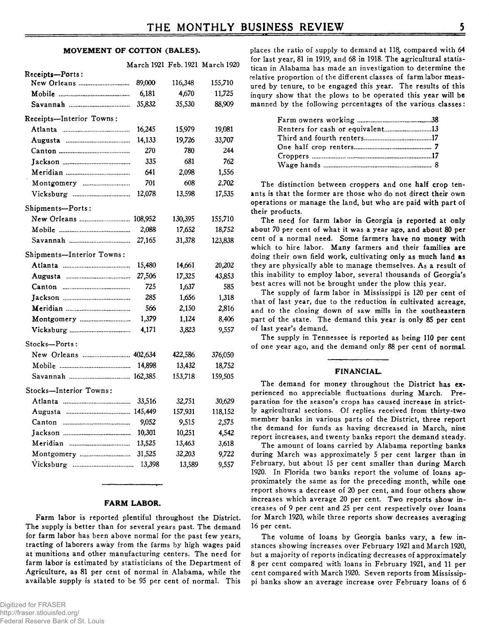#### **MOVEMENT OF COTTON (BALES).**

|                           |         |         | March 1921 Feb. 1921 March 1920 |
|---------------------------|---------|---------|---------------------------------|
| Receipts-Ports:           |         |         |                                 |
| New Orleans               | 89,000  | 116,348 | 155,710                         |
|                           | 6,181   | 4,670   | 11,725                          |
|                           | 35,832  | 35,530  | 88,909                          |
| Receipts-Interior Towns:  |         |         |                                 |
|                           | 16,245  | 15,979  | 19,081                          |
|                           | 14,133  | 19,726  | 33,707                          |
|                           | 270     | 780     | 244                             |
|                           | 335     | 681     | 762                             |
|                           | 641     | 2,098   | 1,556                           |
|                           | 701     | 608     | 2,702                           |
|                           | 12,078  | 13,598  | 17,535                          |
| Shipments-Ports:          |         |         |                                 |
|                           | 108,952 | 130,395 | 155,710                         |
|                           | 2,088   | 17,652  | 18,752                          |
|                           | 27,165  | 31,378  | 123,838                         |
| Shipments-Interior Towns: |         |         |                                 |
|                           | 15,480  | 14,661  | 20,202                          |
|                           | 27,506  | 17,325  | 43,853                          |
|                           | 725     | 1,637   | 585                             |
|                           | 285     | 1,656   | 1,318                           |
|                           | 566     | 2,150   | 2,816                           |
|                           | 1,379   | 1,124   | 8,406                           |
|                           | 4,171   | 3,823   | 9,557                           |
| Stocks-Ports:             |         |         |                                 |
|                           |         | 422,586 | 376,050                         |
|                           | 14,898  | 13,432  | 18,752                          |
|                           |         | 153,718 | 159,505                         |
| Stocks-Interior Towns:    |         |         |                                 |
|                           | 33,516  | 32,751  | 30,629                          |
|                           |         | 157,931 | 118,152                         |
|                           | 9,052   | 9,515   | 2,575                           |
|                           | 10,301  | 10,251  | 4,542                           |
|                           | 13,525  | 13,463  | 3,618                           |
|                           | 31,525  | 32,203  | 9,722                           |
|                           | 13,398  | 13,589  | 9.557                           |

#### **FARM LABOR.**

**Farm labor is reported plentiful throughout the District. The supply is better than for several years past. The demand for farm labor has been above normal for the past few years, trading of laborers away from the farms by high wages paid at munitions and other manufacturing centers. The need for farm labor is estimated by statisticians of the Department of Agriculture, as 81 per cent of normal in Alabama, while the available supply is stated to be 95 per cent of normal. This** **places the ratio of supply to demand at 118, compared with 64 for last year, 81 in 1919, and 68 in 1918. The agricultural statis**tican in Alabama has made an investigation to determine the **relative proportion of the different classes of farm labor measured by tenure, to be engaged this year. The results of this inqury show that the plows to be operated this year will be manned by the following percentages of the various classes:**

**The distinction between croppers and one half crop tenants is that the former are those who do not direct their own operations or manage the land, but who are paid with part of their products.**

**The need for farm labor in Georgia is reported at only about 70 per cent of what it was a year ago, and about 80 per cent of a normal need. Some farmers have no money with which to hire labor. Many farmers and their families are** doing their own field work, cultivating only as much land as **they are physically able to manage themselves. As a result of this inability to employ labor, several thousands of Georgia's best acres will not be brought under the plow this year.**

**The supply of farm labor in Mississippi is 120 per cent of that of last year, due to the reduction in cultivated acreage, and to the closing down of saw mills in the southeastern part of the state. The demand this year is only 85 per cent of last year's demand.**

**The supply in Tennessee is reported as being 110 per cent of one year ago, and the demand only 88 per cent of normal.**

#### **FINANCIAL.**

**The demand for money throughout the District has experienced no appreciable fluctuations during March. Preparation for the season's crops has caused increase in strictly agricultural sections. Of replies received from thirty-two member banks in various parts of the District, three report the demand for funds as having decreased in March, nine report increases, and twenty banks report the demand steady.**

**The amount of loans carried by Alabama reporting banks during March was approximately 5 per cent larger than in February, but about 15 per cent smaller than during March 1920. In Florida two banks report the volume of loans approximately the same as for the preceding month, while one report shows a decrease of 20 per cent, and four others show increases which average 20 per cent. Two reports show increases of 9 per cent and 25 per cent respectively over loans for March 1920, while three reports show decreases averaging 16 per cent.**

**The volume of loans by Georgia banks vary, a few instances showing increases over February 1921 and March 1920, but a majority of reports indicating decreases of approximately 8 per cent compared with loans in February 1921, and 11 per cent compared with March 1920. Seven reports from Mississippi banks show an average increase over February loans of 6**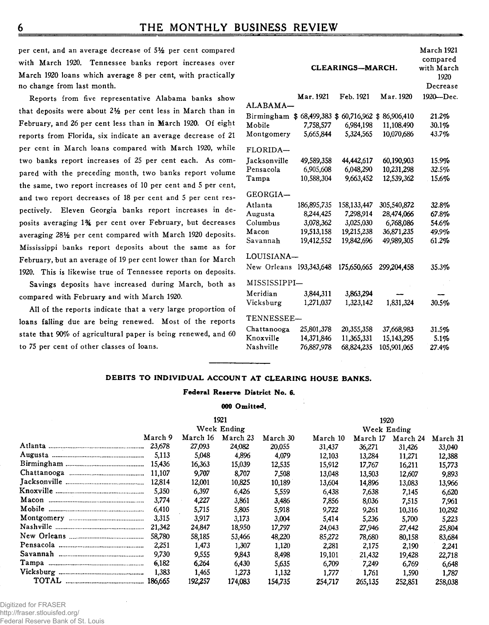**6 THE MONTHLY BUSINESS REVIEW** 

**per cent, and an average decrease of 5***Vz* **per cent compared with March 1920. Tennessee banks report increases over March 1920 loans which average 8 per cent, with practically no change from last month.**

**Reports from five representative Alabama banks show that deposits were about 2***Y2* **per cent less in March than in February, and 26 per cent less than in March 1920. Of eight reports from Florida, six indicate an average decrease of 21 per cent in March loans compared with March 1920, while two banks report increases of 25 per cent each. As compared with the preceding month, two banks report volume the same, two report increases of 10 per cent and 5 per cent, and two report decreases of 18 per cent and 5 per cent respectively. Eleven Georgia banks report increases in deposits averaging 1% per cent over February, but decreases averaging** *2SY2* **per cent compared with March 1920 deposits. Mississippi banks report deposits about the same as for February, but an average of 19 per cent lower than for March 1920. This is likewise true of Tennessee reports on deposits.**

**Savings deposits have increased during March, both as compared with February and with March 1920.**

**All of the reports indicate that a very large proportion of loans falling due are being renewed. Most of the reports state that 90% of agricultural paper is being renewed, and 60 to 75 per cent of other classes of loans.**

|               |               | CLEARINGS—MARCH. |             | March 1921<br>compared<br>with March<br>1920 |
|---------------|---------------|------------------|-------------|----------------------------------------------|
|               |               |                  |             | Decrease                                     |
|               | Mar. 1921     | Feb. 1921        | Маг. 1920   | 1920-Dec.                                    |
| ALABAMA       |               |                  |             |                                              |
| Birmingham \$ | 68,499,383 \$ | 60,716,962 \$    | 86,906,410  | 21.2%                                        |
| Mobile        | 7,758,577     | 6,984,198        | 11,108.490  | 30.1%                                        |
| Montgomery    | 5,665,844     | 5,324,565        | 10,070,686  | 43.7%                                        |
| FLORIDA—      |               |                  |             |                                              |
| Jacksonville  | 49,589,358    | 44,442,617       | 60,190,903  | 15.9%                                        |
| Pensacola     | 6,905,608     | 6,048,290        | 10,231,298  | 32.5%                                        |
| Tampa         | 10,588,304    | 9,663,452        | 12,539,362  | 15.6%                                        |
| GEORGIA—      |               |                  |             |                                              |
| Atlanta       | 186,895,735   | 158.133.447      | 305.540.872 | 32.8%                                        |
| Augusta       | 8,244,425     | 7,298,914        | 28,474,066  | 67.8%                                        |
| Columbus      | 3,078,362     | 3,025,030        | 6,768,086   | 54.6%                                        |
| Macon         | 19,513.158    | 19,215,238       | 36,871,235  | 49.9%                                        |
| Savannah      | 19,412.552    | 19,842,696       | 49,989,305  | 61.2%                                        |
| LOUISIANA–    |               |                  |             |                                              |
| New Orleans   | 193,343,648   | 175,650,665      | 299,204,458 | 35.3%                                        |
| MISSISSIPPI–  |               |                  |             |                                              |
| Meridian      | 3,844,311     | 3,863,294        |             |                                              |
| Vicksburg     | 1,271,037     | 1,323,142        | 1,831,324   | 30.5%                                        |
| TENNESSEE-    |               |                  |             |                                              |
| Chattanooga   | 25,801,378    | 20,355,358       | 37,668,983  | 31.5%                                        |
| Knoxville     | 14,371,846    | 11,365,331       | 15,143,295  | 5.1%                                         |
| Nashville     | 76,887,978    | 68,824,235       | 105,901.065 | 27.4%                                        |

# **DEBITS TO INDIVIDUAL ACCOUNT AT CLEARING HOUSE BANKS.**

#### **Federal Reserve District No. 6.**

#### **000 Omitted.**

|                                   |         |             | 1921     |          |             | 1920     |          |          |
|-----------------------------------|---------|-------------|----------|----------|-------------|----------|----------|----------|
|                                   |         | Week Ending |          |          | Week Ending |          |          |          |
|                                   | March 9 | March 16    | March 23 | March 30 | March 10    | March 17 | March 24 | March 31 |
|                                   | 23.678  | 27,093      | 24,082   | 20,055   | 31,437      | 36,271   | 31,426   | 33,040   |
|                                   | 5.113   | 5,048       | 4,896    | 4,079    | 12,103      | 13.284   | 11,271   | 12,388   |
|                                   | 15.436  | 16,363      | 15,039   | 12.535   | 15,912      | 17,767   | 16,211   | 15,773   |
|                                   | 11.107  | 9.707       | 8,707    | 7,508    | 13,048      | 13,503   | 12,607   | 9,893    |
|                                   | 12.814  | 12.001      | 10,825   | 10,189   | 13.604      | 14,896   | 13,083   | 13,966   |
|                                   | 5.350   | 6,397       | 6,426    | 5.559    | 6,438       | 7,638    | 7,145    | 6,620    |
| Macon                             | 3.774   | 4,227       | 3,861    | 3,486    | 7.856       | 8,036    | 7,515    | 7,961    |
|                                   | 6,410   | 5.715       | 5,805    | 5.918    | 9.722       | 9.261    | 10,316   | 10,292   |
| Montgomery                        | 3.315   | 3,917       | 3,173    | 3,004    | 5,414       | 5,236    | 5.700    | 5.223    |
|                                   | 21.342  | 24,847      | 18,950   | 17.797   | 24,043      | 27,946   | 27,442   | 25,804   |
|                                   | 58.780  | 58,185      | 53,466   | 48.220   | 85,272      | 78,680   | 80,158   | 83,684   |
|                                   | 2.251   | 1.473       | 1,307    | 1,120    | 2,281       | 2,175    | 2,190    | 2,241    |
| Savannah                          | 9.730   | 9.555       | 9.843    | 8,498    | 19,101      | 21.432   | 19,428   | 22,718   |
| Tampa                             | 6.182   | 6.264       | 6.430    | 5.635    | 6.709       | 7.249    | 6,769    | 6,648    |
|                                   | 1.383   | 1,465       | 1.273    | 1.132    | 1,777       | 1.761    | 1,590    | 1.787    |
| TOTAL <b>www.communically.org</b> | 186.665 | 192.257     | 174,083  | 154.735  | 254.717     | 265,135  | 252,851  | 258,038  |

Digitized for FRASER http://fraser.stlouisfed.org/ Federal Reserve Bank of St. Louis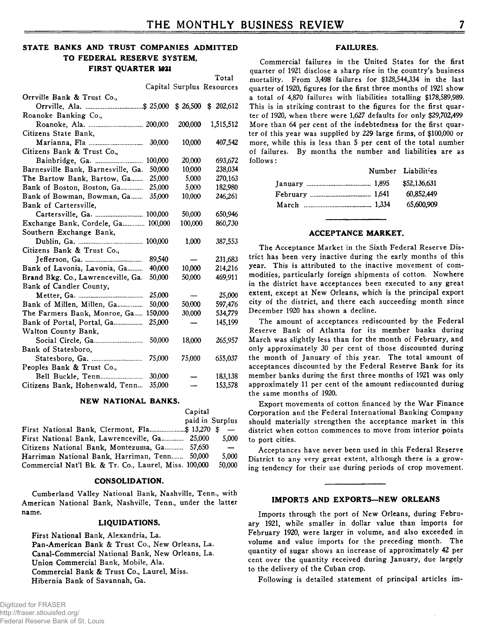# **STATE BANKS AND TRUST COMPANIES ADMITTED TO FEDERAL RESERVE SYSTEM, FIRST QUARTER 1021**

|                                    |         |                   | Total                     |
|------------------------------------|---------|-------------------|---------------------------|
|                                    |         |                   | Capital Surplus Resources |
| Orrville Bank & Trust Co.,         |         |                   |                           |
|                                    |         |                   | $$26,500$ $$202,612$      |
| Roanoke Banking Co.,               |         |                   |                           |
| Roanoke, Ala.  200,000             |         | 200,000           | 1,515,512                 |
| Citizens State Bank,               |         |                   |                           |
|                                    | 30,000  | 10,000            | 407,542                   |
| Citizens Bank & Trust Co.,         |         |                   |                           |
|                                    | 100,000 | 20,000            | 693,672                   |
| Barnesville Bank, Barnesville, Ga. | 50,000  | 10.000            | 238,034                   |
| The Bartow Bank, Bartow, Ga        | 25,000  | 5,000             | 270,163                   |
| Bank of Boston, Boston, Ga         | 25,000  | 5,000             | 182,980                   |
| Bank of Bowman, Bowman, Ga         | 35,000  | 10,000            | 246,261                   |
| Bank of Cartersville,              |         |                   |                           |
| Cartersville, Ga.  100,000         |         | 50,000            | 650,946                   |
| Exchange Bank, Cordele, Ga 100,000 |         | 100,000           | 860,730                   |
| Southern Exchange Bank,            |         |                   |                           |
|                                    |         | 1,000             | 387,553                   |
| Citizens Bank & Trust Co.,         |         |                   |                           |
|                                    | 89,540  | $\hspace{0.05cm}$ | 231,683                   |
| Bank of Lavonia, Lavonia, Ga       | 40,000  | 10,000            | 214,216                   |
| Brand Bkg. Co., Lawrenceville, Ga. | 50,000  | 50,000            | 469.911                   |
| Bank of Candler County,            |         |                   |                           |
|                                    | 25,000  |                   | 25,000                    |
| Bank of Millen, Millen, Ga         | 50,000  | 50,000            | 597,476                   |
| The Farmers Bank, Monroe, Ga       | 150,000 | 30,000            | 534,779                   |
| Bank of Portal, Portal, Ga         | 25,000  | $\qquad \qquad$   | 145,199                   |
| Walton County Bank,                |         |                   |                           |
|                                    | 50,000  | 18,000            | 265,957                   |
| Bank of Statesboro,                |         |                   |                           |
|                                    | 75,000  | 75,000            | 655,037                   |
| Peoples Bank & Trust Co.,          |         |                   |                           |
|                                    | 30,000  |                   | 183,138                   |
| Citizens Bank, Hohenwald, Tenn     | 35,000  |                   | 153,578                   |

#### **NEW NATIONAL BANKS.**

|                                                       | Capital         |                          |
|-------------------------------------------------------|-----------------|--------------------------|
|                                                       | paid in Surplus |                          |
| First National Bank, Clermont, Fla\$ 13.270 \$        |                 | $\overline{\phantom{0}}$ |
| First National Bank, Lawrenceville, Ga 25,000         |                 | 5.000                    |
| Citizens National Bank, Montezuma, Ga 57,650          |                 | $\overline{\phantom{a}}$ |
| Harriman National Bank, Harriman, Tenn                | 50,000          | 5,000                    |
| Commercial Nat'l Bk. & Tr. Co., Laurel, Miss. 100,000 |                 | 50.000                   |

#### **CONSOLIDATION.**

Cumberland Valley National Bank, Nashville, Tenn., with American National Bank, Nashville, Tenn., under the latter name.

#### **LIQUIDATIONS.**

First National Bank, Alexandria, La. Pan-American Bank & Trust Co., New Orleans, La. Canal-Commercial National Bank, New Orleans, La. Union Commercial Bank, Mobile, Ala. Commercial Bank & Trust Co., Laurel, Miss. Hibernia Bank of Savannah, Ga.

#### **FAILURES.**

Commercial failures in the United States for the first quarter of 1921 disclose a sharp rise in the country's business mortality. From 3,498 failures for \$128,544,334 in the last quarter of 1920, figures for the first three months of 1921 show a total of 4,870 failures with liabilities totalling \$178,589,989. This is in striking contrast to the figures for the first quarter of 1920, when there were 1,627 defaults for only \$29,702,499 More than 64 per cent of the indebtedness for the first quarter of this year was supplied by 229 large firms, of \$100,000 or more, while this is less than 5 per cent of the total number of failures. By months the number and liabilities are as follows:

|  | Number Liabilities |
|--|--------------------|
|  | \$52,136,631       |
|  | 60.852.449         |
|  | 65.600.909         |

#### **ACCEPTANCE MARKET.**

The Acceptance Market in the Sixth Federal Reserve District has been very inactive during the early months of this year. This is attributed to the inactive movement of commodities, particularly foreign shipments of cotton. Nowhere in the district have acceptances been executed to any great extent, except at New Orleans, which is the principal export city of the district, and there each succeeding month since December 1920 has shown a decline.

The amount of acceptances rediscounted by the Federal Reserve Bank of Atlanta for its member banks during March was slightly less than for the month of February, and only approximately 30 per cent of those discounted during the month of January of this year. The total amount of acceptances discounted by the Federal Reserve Bank for its member banks during the first three months of 1921 was only approximately 11 per cent of the amount rediscounted during the same months of 1920.

Export movements of cotton financed by the War Finance Corporation and the Federal International Banking Company should materially strengthen the acceptance market in this district when cotton commences to move from interior points to port cities.

Acceptances have never been used in this Federal Reserve District to any very great extent, although there is a growing tendency for their use during periods of crop movement.

#### **IMPORTS AND EXPORTS—NEW ORLEANS**

Imports through the port of New Orleans, during February 1921, while smaller in dollar value than imports for February 1920, were larger in volume, and also exceeded in volume and value imports for the preceding month. The quantity of sugar shows an increase of approximately 42 per cent over the quantity received during January, due largely to the delivery of the Cuban crop.

Following is detailed statement of principal articles im-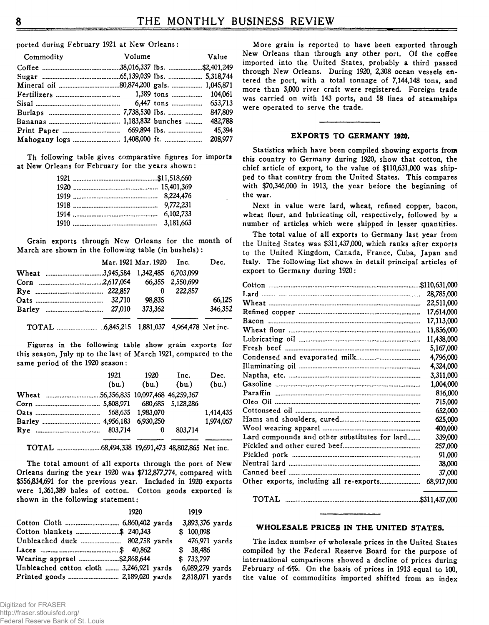ported during February 1921 at New Orleans:

| Commodity                             | Volume | Value   |
|---------------------------------------|--------|---------|
|                                       |        |         |
|                                       |        |         |
|                                       |        |         |
|                                       |        |         |
|                                       |        |         |
|                                       |        |         |
|                                       |        | 482.788 |
|                                       |        | 45.394  |
| Mahogany logs  1,408,000 ft.  208,977 |        |         |

Th following table gives comparative figures for imports at New Orleans for February for the years shown:

| 3.181.663 |
|-----------|
|           |

Grain exports through New Orleans for the month of March are shown in the following table (in bushels):

|  | Mar. 1921 Mar. 1920 Inc. |         | Dec.    |
|--|--------------------------|---------|---------|
|  |                          |         |         |
|  |                          |         |         |
|  | 0                        | 222.857 |         |
|  | 98.835                   |         | 66.125  |
|  | 373,362                  |         | 346,352 |
|  |                          |         |         |

Figures in the following table show grain exports for this season, July up to the last of March 1921, compared to the same period of the 1920 season:

| 1921  | 1920  | Inc.    | Dec.      |
|-------|-------|---------|-----------|
| (bu.) | (bu.) | (bu.)   | (bu.)     |
|       |       |         |           |
|       |       |         |           |
|       |       |         | 1.414.435 |
|       |       |         | 1.974.067 |
|       | 0     | 803.714 |           |
|       |       |         |           |

The total amount of all exports through the port of New Orleans during the year 1920 was \$712,877,774, compared with \$556,834,691 for the previous year. Included in 1920 exports were 1,361,389 bales of cotton. Cotton goods exported is shown in the following statement:

|                                          | 1920 | 1919            |
|------------------------------------------|------|-----------------|
|                                          |      | 3,893,376 yards |
| Cotton blankets \$ 240,343               |      | \$100,098       |
|                                          |      | 476,971 vards   |
|                                          |      | \$38,486        |
|                                          |      | \$733,797       |
| Unbleached cotton cloth  3,246,921 yards |      | 6,089,279 yards |
|                                          |      | 2,818,071 yards |

More grain is reported to have been exported through New Orleans than through any other port. Of the coffee imported into the United States, probably a third passed through New Orleans. During 1920, 2,308 ocean vessels entered the port, with a total tonnage of 7,144,148 tons, and more than 3,000 river craft were registered. Foreign trade was carried on with 143 ports, and 58 lines of steamships were operated to serve the trade.

#### **EXPORTS TO GERMANY 1920.**

Statistics which have been compiled showing exports from this country to Germany during 1920, show that cotton, the chief article of export, to the value of \$110,631,000 was shipped to that country from the United States. This compares with \$70,346,000 in 1913, the year before the beginning of the war.

Next in value were lard, wheat, refined copper, bacon, wheat flour, and lubricating oil, respectively, followed by a number of articles which were shipped in lesser quantities.

The total value of all exports to Germany last year from the United States was \$311,437,000, which ranks after exports to the United Kingdom, Canada, France, Cuba, Japan and Italy. The following list shows in detail principal articles of export to Germany during 1920:

|                                               | 28,785,000 |
|-----------------------------------------------|------------|
|                                               | 22,511,000 |
|                                               | 17,614,000 |
|                                               | 17,113,000 |
|                                               | 11,856,000 |
|                                               | 11,438,000 |
|                                               | 5,167,000  |
|                                               | 4,796,000  |
|                                               | 4,324,000  |
|                                               | 3,311,000  |
|                                               | 1,004,000  |
|                                               | 816,000    |
|                                               | 715,000    |
|                                               | 652,000    |
|                                               | 625,000    |
|                                               | 400,000    |
| Lard compounds and other substitutes for lard | 339,000    |
|                                               | 257,000    |
|                                               | 91,000     |
|                                               | 38,000     |
|                                               | 37,000     |
|                                               | 68,917,000 |
|                                               |            |

#### **WHOLESALE PRICES IN THE UNITED STATES.**

The index number of wholesale prices in the United States compiled by the Federal Reserve Board for the purpose of international comparisons showed a decline of prices during February of 6%. On the basis of prices in 1913 equal to 100, the value of commodities imported shifted from an index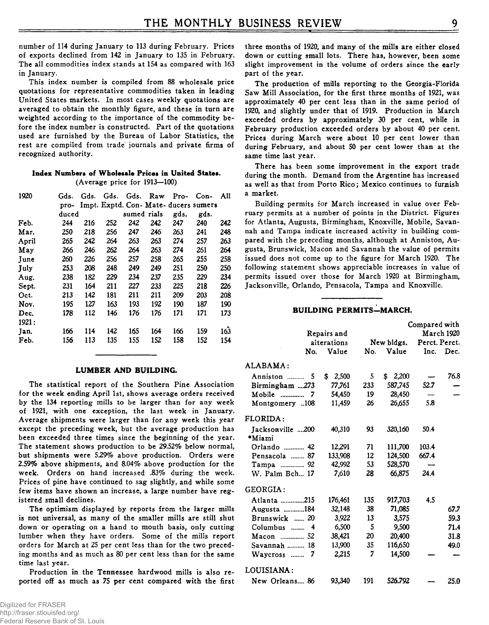number of 114 during January to 113 during February. Prices of exports declined from 142 in January to 135 in February. The all commodities index stands at 154 as compared with 163 in January.

This index number is compiled from 88 wholesale price quotations for representative commodities taken in leading United States markets. In most cases weekly quotations are averaged to obtain the monthly figure, and these in turn are weighted according to the importance of the commodity before the index number is constructed. Part of the quotations used are furnished by the Bureau of Labor Statistics, the rest are compiled from trade journals and private firms of recognized authority.

#### **Index Numbers of Wholesale Prices in United States.** (Average price for 1913—100)

| 1920  | Gds.  | Gds. | Gds. | Gds.        | Raw | Pro- | $Con-$                                | All |
|-------|-------|------|------|-------------|-----|------|---------------------------------------|-----|
|       | pro-  |      |      |             |     |      | Impt. Exptd. Con- Mate- ducers sumers |     |
|       | duced |      |      | sumed rials |     | gds. | gds.                                  |     |
| Feb.  | 244   | 216  | 252  | 242         | 242 | 247  | 240                                   | 242 |
| Mar.  | 250   | 218  | 256  | 247         | 246 | 263  | 241                                   | 248 |
| April | 265   | 242  | 264  | 263         | 263 | 274  | 257                                   | 263 |
| May   | 266   | 246  | 262  | 264         | 263 | 274  | 261                                   | 264 |
| June  | 260   | 226  | 256  | 257         | 258 | 265  | 255                                   | 258 |
| July  | 253   | 208  | 248  | 249         | 249 | 251  | 250                                   | 250 |
| Aug.  | 238   | 182  | 229  | 234         | 237 | 235  | 229                                   | 234 |
| Sept. | 231   | 164  | 211  | 227         | 233 | 225  | 218                                   | 226 |
| Oct.  | 213   | 142  | 181  | 211         | 211 | 209  | 203                                   | 208 |
| Nov.  | 195   | 127  | 163  | 193         | 192 | 190  | 187                                   | 190 |
| Dec.  | 178   | 112  | 146  | 176         | 176 | 171  | 171                                   | 173 |
| 1921: |       |      |      |             |     |      |                                       |     |
| Jan.  | 166   | 114  | 142  | 165         | 164 | 166  | 159                                   | 163 |
| Feb.  | 156   | 113  | 135  | 155         | 152 | 158  | 152                                   | 154 |

#### **LUMBER AND BUILDING.**

The statistical report of the Southern Pine Association for the week ending April 1st, shows average orders received by the 134 reporting mills to be larger than for any week of 1921, with one exception, the last week in January. Average shipments were larger than for any week this year except the preceding week, but the average production has been exceeded three times since the beginning of the year. The statement shows production to be 29.52% below normal, but shipments were 529% above production. Orders were 2.59% above shipments, and 8.04% above production for the week. Orders on hand increased .83% during the week. Prices of pine have continued to sag slightly, and while some few items have shown an increase, a large number have registered small declines.

The optimism displayed by reports from the larger mills is not universal, as many of the smaller mills are still shut down or operating on a hand to mouth basis, only cutting lumber when they have orders. Some of the mills report orders for March at 25 per cent less than for the two preceding months and as much as 80 per cent less than for the same time last year.

Production in the Tennessee hardwood mills is also reported off as much as 75 per cent compared with the first three months of 1920, and many of the mills are either closed down or cutting small lots. There has, however, been some slight improvement in the volume of orders since the early part of the year.

The production of mills reporting to the Georgia-Florida Saw Mill Association, for the first three months of 1921, was approximately 40 per cent less than in the same period of 1920, and slightly under that of 1919. Production in March exceeded orders by approximately 30 per cent, while in February production exceeded orders by about 40 per cent. Prices during March were about 10 per cent lower than during February, and about 50 per cent lower than at the same time last year.

There has been some improvement in the export trade during the month. Demand from the Argentine has increased as well as that from Porto Rico; Mexico continues to furnish a market.

Building permits for March increased in value over February permits at a number of points in the District. Figures for Atlanta, Augusta, Birmingham, Knoxville, Mobile, Savannah and Tampa indicate increased activity in building compared with the preceding months, although at Anniston, Augusta, Brunswick, Macon and Savannah the value of permits issued does not come up to the figure for March 1920. The following statement shows appreciable increases in value of permits issued over those for March 1920 at Birmingham, Jacksonville, Orlando, Pensacola, Tampa and Knoxville.

# **BUILDING PERMITS—MARCH.**

|                         |             |     |             | Compared with |            |
|-------------------------|-------------|-----|-------------|---------------|------------|
|                         | Repairs and |     |             |               | March 1920 |
|                         | alterations |     | New bldgs.  | Perct. Perct. |            |
| No.                     | Value       | No. | Value       | Inc.          | Dec.       |
| ALABAMA:                |             |     |             |               |            |
| Anniston<br>5           | 2,500<br>\$ | 5   | \$<br>2,200 |               | 76.8       |
| Birmingham 273          | 77.761      | 233 | 587,745     | 52.7          |            |
| $\mathbf{M}$ obile<br>7 | 54,450      | 19  | 28,450      |               |            |
| Montgomery 108          | 11,459      | 26  | 26,655      | 5.8           |            |
| FLORIDA:                |             |     |             |               |            |
| Jacksonville 200        | 40,310      | 93  | 320,160     | 50.4          |            |
| *Miami                  |             |     |             |               |            |
| Orlando  42             | 12.291      | 71  | 111,700     | 103.4         |            |
| Pensacola  87           | 133,908     | 12  | 124,500     | 667.4         |            |
| Tampa  92               | 42,992      | 53  | 528,570     |               |            |
| W. Palm Bch 17          | 7,610       | 28  | 66,875      | 24.4          |            |
| GEORGIA:                |             |     |             |               |            |
| Atlanta 215             | 176,461     | 135 | 917,703     | 4.5           |            |
| Augusta 184             | 32.148      | 38  | 71,085      |               | 67.7       |
| Brunswick  20           | 3,922       | 13  | 3.575       |               | 59.3       |
| Columbus<br>4           | 6,500       | 5   | 9,500       |               | 71.4       |
|                         | 38,421      | 20  | 20,400      |               | 31.8       |
| Savannah  18            | 13,900      | 35  | 116,650     |               | 49.0       |
| Waycross<br>7           | 2,215       | 7   | 14.500      |               |            |
| LOUISIANA :             |             |     |             |               |            |
| New Orleans 86          | 93.340      | 191 | 526.792     |               | 25.0       |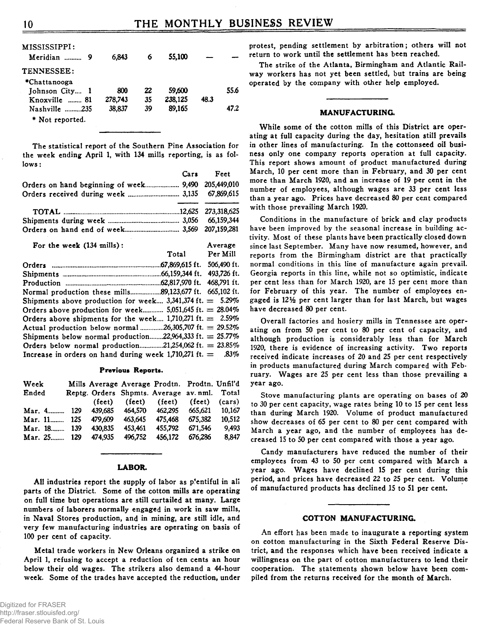| MISSISSIPPI:<br>Meridian  9 | 6.843   | 6  | 55,100  |      |      |
|-----------------------------|---------|----|---------|------|------|
| TENNESSEE:                  |         |    |         |      |      |
| *Chattanooga                |         |    |         |      |      |
| Johnson City 1              | 800     | 22 | 59,600  |      | 55.6 |
| Knoxville  81               | 278,743 | 35 | 238,125 | 48.3 |      |
| Nashville 235               | 38.837  | 39 | 89.165  |      | 47.2 |
| * Not reported.             |         |    |         |      |      |

The statistical report of the Southern Pine Association for the week ending April 1, with 134 mills reporting, is as fol**lo w s :**

|                                                    | Cars Feet |
|----------------------------------------------------|-----------|
| Orders on hand beginning of week 9,490 205,449,010 |           |
|                                                    |           |
|                                                    |           |
|                                                    |           |

**O rd ers o n h a n d en d o f w e e k .................................... 3,569 207,159,281**

| For the week (134 mills):                                    |                             | Average     |
|--------------------------------------------------------------|-----------------------------|-------------|
|                                                              | Total                       | Per Mill    |
|                                                              | .67.869.615 ft.             | 506,490 ft. |
|                                                              | .66.159.344 ft. 493.726 ft. |             |
|                                                              | .62.817.970 ft. 468.791 ft. |             |
| Normal production these mills89,123,677 ft. 665,102 ft.      |                             |             |
| Shipments above production for week 3,341,374 ft. $= 5.29\%$ |                             |             |
| Orders above production for week 5,051,645 ft. $= 28.04\%$   |                             |             |
| Orders above shipments for the week 1,710,271 ft. $= 2.59\%$ |                             |             |
| Actual production below normal 26,305,707 ft. = 29.52%       |                             |             |
| Shipments below normal production22,964,333 ft. $= 25.77\%$  |                             |             |
| Orders below normal production21,254,062 ft. = $23.85\%$     |                             |             |
| Increase in orders on hand during week 1,710,271 ft. = .83%  |                             |             |

#### **Previous Reports.**

| Week        |     |             |         | Mills Average Average Prodtn. Prodtn. Unfil'd                   |         |        |
|-------------|-----|-------------|---------|-----------------------------------------------------------------|---------|--------|
| Ended       |     |             |         | Reptg. Orders Shpmts. Average av. nml. Total                    |         |        |
|             |     |             |         | $(\text{feet})$ $(\text{feet})$ $(\text{feet})$ $(\text{feet})$ |         | (cars) |
| Mar. 4      |     | 129 439.685 | 464.570 | 462,295 665,621                                                 |         | 10.167 |
| Mar. 11 125 |     | 479.609     | 463.645 | 475.468                                                         | 675.382 | 10.512 |
| Mar. 18     | 139 | 430.835     | 453,461 | 455.792                                                         | 671.546 | 9.493  |
| Mar. 25 129 |     | 474.935     | 496.752 | 456.172                                                         | 676.286 | 8.847  |

#### **LABOR.**

All industries report the supply of labor as p'entiful in all parts of the District. Some of the cotton mills are operating on full time but operations are still curtailed at many. Large numbers of laborers normally engaged in work in saw mills, in Naval Stores production, and in mining, are still idle, and very few manufacturing industries are operating on basis of 100 per cent of capacity.

Metal trade workers in New Orleans organized a strike on April 1, refusing to accept a reduction of ten cents an hour below their old wages. The strikers also demand a 44-hour week. Some of the trades have accepted the reduction, under

protest, pending settlement by arbitration; others will not return to work until the settlement has been reached.

The strike of the Atlanta, Birmingham and Atlantic Railway workers has not yet been settled, but trains are being operated by the company with other help employed.

#### **MANUFACTURING.**

While some of the cotton mills of this District are operating at full capacity during the day, hesitation still prevails in other lines of manufacturing. In the cottonseed oil business only one company reports operation at full capacity. This report shows amount of product manufactured during March, 10 per cent more than in February, and 30 per cent more than March 1920, and an increase of 19 per cent in the number of employees, although wages are 33 per cent less than a year ago. Prices have decreased 80 per cent compared with those prevailing March 1920.

Conditions in the manufacture of brick and clay products have been improved by the seasonal increase in building activity. Most of these plants have been practically closed down since last September. Many have now resumed, however, and reports from the Birmingham district are that practically normal conditions in this line of manufacture again prevail. Georgia reports in this line, while not so optimistic, indicate per cent less than for March 1920, are 15 per cent more than for February of this year. The number of employees engaged is 12<sup>1/2</sup> per cent larger than for last March, but wages have decreased 80 per cent.

Overall factories and hosiery mills in Tennessee are operating on from 50 per cent to 80 per cent of capacity, and although production is considerably less than for March 1920, there is evidence of increasing activity. Two reports received indicate increases of 20 and 25 per cent respectively in products manufactured during March compared with February. Wages are 25 per cent less than those prevailing a  $year$  ago.

Stove manufacturing plants are operating on bases of 20 to 30 per cent capacity, wage rates being 10 to 15 per cent less than during March 1920. Volume of product manufactured show decreases of 65 per cent to 80 per cent compared with March a year ago, and the number of employees has decreased 15 to 50 per cent compared with those a year ago.

Candy manufacturers have reduced the number of their employees from 43 to 50 per cent compared with March a year ago. Wages have declined 15 per cent during this period, and prices have decreased 22 to 25 per cent. Volume of manufactured products has declined 15 to 51 per cent.

#### **COTTON MANUFACTURING.**

An effort has been made to inaugurate a reporting system on cotton manufacturing in the Sixth Federal Reserve District, and the responses which have been received indicate a willingness on the part of cotton manufacturers to lend their cooperation. The statements shown below have been compiled from the returns received for the month of March.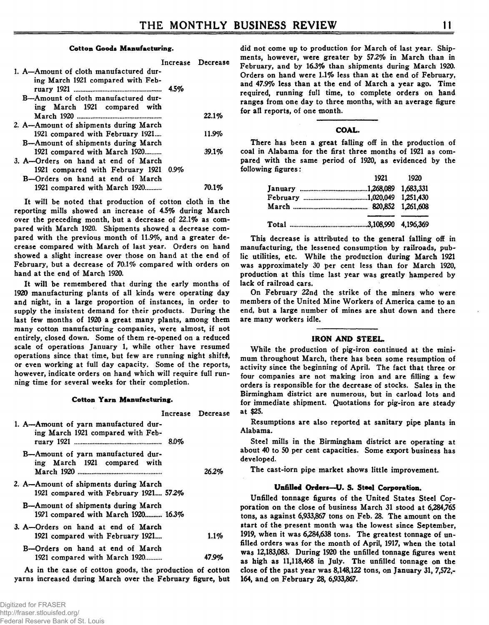#### **Cotton Goods Manufacturing.**

|                                        | Increase Decrease                                                                                                                             |
|----------------------------------------|-----------------------------------------------------------------------------------------------------------------------------------------------|
| 1. A-Amount of cloth manufactured dur- |                                                                                                                                               |
| ing March 1921 compared with Feb-      |                                                                                                                                               |
|                                        |                                                                                                                                               |
| B-Amount of cloth manufactured dur-    |                                                                                                                                               |
| ing March 1921 compared with           |                                                                                                                                               |
|                                        | 22.1%                                                                                                                                         |
| 2. A—Amount of shipments during March  |                                                                                                                                               |
| 1921 compared with February 1921       | 11.9%                                                                                                                                         |
|                                        |                                                                                                                                               |
|                                        | 39.1%                                                                                                                                         |
| 3. A-Orders on hand at end of March    |                                                                                                                                               |
|                                        |                                                                                                                                               |
| B-Orders on hand at end of March       |                                                                                                                                               |
|                                        | 70.1%                                                                                                                                         |
|                                        | B—Amount of shipments during March<br>1921 compared with March 1920<br>1921 compared with February 1921 0.9%<br>1921 compared with March 1920 |

It will be noted that production of cotton cloth in the reporting mills showed an increase of 4.5% during March over the preceding month, but a decrease of 22.1% as compared with March 1920. Shipments showed a decrease compared with the previous month of 11.9%, and a greater decrease compared with March of last year. Orders on hand showed a slight increase over those on hand at the end of February, but a decrease of 70.1% compared with orders on hand at the end of March 1920.

It will be remembered that during the early months of 1920 manufacturing plants of all kinds were operating day and night, in a large proportion of instances, in order to supply the insistent demand for their products. During the last few months of 1920 a great many plants, among them many cotton manufacturing companies, were almost, if not entirely, closed down. Some of them re-opened on a reduced scale of operations January 1, while other have resumed operations since that time, but few are running night shifts, or even working at full day capacity. Some of the reports, however, indicate orders on hand which will require full running time for several weeks for their completion.

#### **Cotton Yarn Manufacturing.**

|                                                                                 | Increase Decrease |
|---------------------------------------------------------------------------------|-------------------|
| 1. A-Amount of yarn manufactured dur-<br>ing March 1921 compared with Feb-      |                   |
| B-Amount of yarn manufactured dur-<br>ing March 1921 compared with              | 26.2%             |
| 2. A—Amount of shipments during March<br>1921 compared with February 1921 57.2% |                   |
| B—Amount of shipments during March<br>1921 compared with March 1920 16.3%       |                   |
| 3. A-Orders on hand at end of March<br>1921 compared with February 1921         | 1.1%              |
| B-Orders on hand at end of March<br>1921 compared with March 1920               | 47.9%             |

As in the case of cotton goods, the production of cotton yarns increased during March over the February figure, but did not come up to production for March of last year. Shipments, however, were greater by 57.2% in March than in February, and by 16.3% than shipments during March 1920. Orders on hand were 1.1% less than at the end of February, and 47.9% less than at the end of March a year ago. Time required, running full time, to complete orders on hand ranges from one day to three months, with an average figure for all reports, of one month.

#### **COAL.**

There has been a great falling off in the production of coal in Alabama for the first three months of 1921 as compared with the same period of 1920, as evidenced by the following figures:

|  | 1921 1920 |
|--|-----------|
|  |           |
|  |           |
|  |           |
|  |           |

This decrease is attributed to the general falling off in manufacturing, the lessened consumption by railroads, public utilities, etc. While the production during March 1921 was approximately 30 per cent less than for March 1920, production at this time last year was greatly hampered by lack of railroad cars.

On February 22nd the strike of the miners who were members of the United Mine Workers of America came to an end, but a large number of mines are shut down and there are many workers idle.

#### **IRON AND STEEL.**

While the production of pig-iron continued at the minimum throughout March, there has been some resumption of activity since the beginning of April. The fact that three or four companies are not making iron and are filling a few orders is responsible for the decrease of stocks. Sales in the Birmingham district are numerous, but in carload lots and for immediate shipment. Quotations for pig-iron are steady **a t \$25.**

Resumptions are also reported at sanitary pipe plants in Alabama.

Steel mills in the Birmingham district are operating at about 40 to 50 per cent capacities. Some export business has developed.

The cast-iorn pipe market shows little improvement.

#### **Unfilled Orders—U. S. Steel Corporation.**

Unfilled tonnage figures of the United States Steel Corporation on the close of business March 31 stood at 6,284,765 tons, as against 6,933,867 tons on Feb. 28. The amount on the start of the present month was the lowest since September. 1919, when it was 6,284,638 tons. The greatest tonnage of unfilled orders was for the month of April, 1917, when the total was 12,183,083. During 1920 the unfilled tonnage figures went as high as 11,118,468 in July. The unfilled tonnage on the close of the past year was 8,148,122 tons, on January 31, 7,572.-164, and on February 28, 6,933,867.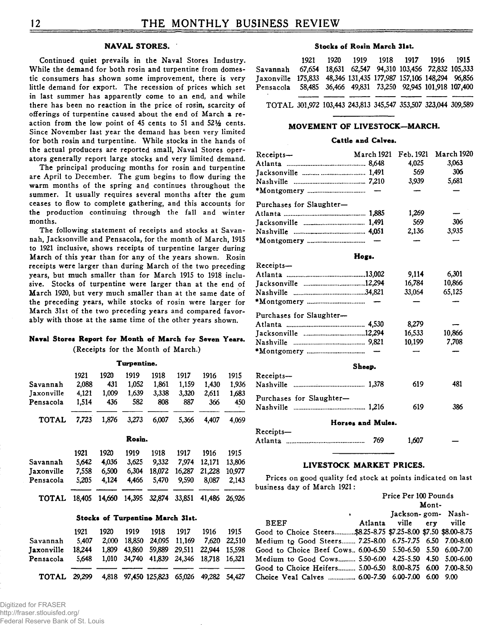# **NAVAL STORES.**

Continued quiet prevails in the Naval Stores Industry. While the demand for both rosin and turpentine from domestic consumers has shown some improvement, there is very little demand for export. The recession of prices which set in last summer has apparently come to an end, and while there has been no reaction in the price of rosin, scarcity of offerings of turpentine caused about the end of March a reaction from the low point of 45 cents to 51 and 52<sup>1</sup>/<sub>2</sub> cents. Since November last year the demand has been very limited for both rosin and turpentine. While stocks in the hands of the actual producers are reported small, Naval Stores operators generally report large stocks and very limited demand.

The principal producing months for rosin and turpentine are April to December. The gum begins to flow during the warm months of the spring and continues throughout the summer. It usually requires several months after the gum ceases to flow to complete gathering, and this accounts for the production continuing through the fall and winter months.

The following statement of receipts and stocks at Savannah, Jacksonville and Pensacola, for the month of March, 1915 to 1921 inclusive, shows receipts of turpentine larger during March of this year than for any of the years shown. Rosin receipts were larger than during March of the two preceding **years, but much smaller than for March 1915 to 1918 inclu**sive. Stocks of turpentine were larger than at the end of March 1920, but very much smaller than at the same date of the preceding years, while stocks of rosin were larger for March 31st of the two preceding years and compared favorably with those at the same time of the other years shown.

# **Naval Stores Report for Month of March for Seven Years.**

(Receipts for the Month of March.)

|                   | 1921   | 1920   | 1919   | 1918   | 1917   | 1916   | 1915   |
|-------------------|--------|--------|--------|--------|--------|--------|--------|
| Savannah          | 2.088  | 431    | 1.052  | 1.861  | 1.159  | 1,430  | 1.936  |
| <b>Jaxonville</b> | 4,121  | 1,009  | 1.639  | 3.338  | 3.320  | 2,611  | 1.683  |
| Pensacola         | 1,514  | 436    | 582    | 808    | 887    | 366    | 450    |
| <b>TOTAL</b>      | 7.723  | 1.876  | 3.273  | 6,007  | 5.366  | 4,407  | 4.069  |
|                   |        |        | Rosin. |        |        |        |        |
|                   | 1921   | 1920   | 1919   | 1918   | 1917   | 1916   | 1915   |
| Savannah          | 5,642  | 4.036  | 3.625  | 9,332  | 7.974  | 12.171 | 13,806 |
| Jaxonville        | 7,558  | 6,500  | 6.304  | 18,072 | 16,287 | 21,228 | 10,977 |
| Pensacola         | 5.205  | 4.124  | 4.466  | 5.470  | 9.590  | 8,087  | 2,143  |
| <b>TOTAL</b>      | 18.405 | 14,660 | 14.395 | 32.874 | 33,851 | 41.486 | 26.926 |

#### **Stocks of Turpentine March 31st.**

| Savannah                                               | 1921<br>5.407 | 1920 | 1919 1918 1917<br>2.000 18.850 24.095 11.169 7.620 22.510                            | 1916 | 1915 |
|--------------------------------------------------------|---------------|------|--------------------------------------------------------------------------------------|------|------|
| <b>Taxonville</b><br>Pensacola 5.648                   | 18.244        |      | 1.809 43.860 59.889 29.511 22.944 15.598<br>1.010 34.740 41.839 24.346 18.718 16.321 |      |      |
| TOTAL 29,299 4,818 97,450 125,823 65,026 49,282 54,427 |               |      |                                                                                      |      |      |

#### **Stocks of Rosin March 31st.**

|                                                                  | 1921 |  | 1920 1919 1918 1917 1916 1915                      |  |  |
|------------------------------------------------------------------|------|--|----------------------------------------------------|--|--|
| Savannah                                                         |      |  | 67.654 18.631 62.547 94.310 103.456 72.832 105.333 |  |  |
| Jaxonville 175,833 48,346 131,435 177,987 157,106 148,294 96,856 |      |  |                                                    |  |  |
| Pensacola 58,485 36,466 49,831 73,250 92,945 101,918 107,400     |      |  |                                                    |  |  |
|                                                                  |      |  |                                                    |  |  |
| TOTAL 301,972 103,443 243,813 345,547 353,507 323,044 309,589    |      |  |                                                    |  |  |

#### **MOVEMENT OF LIVESTOCK—MARCH.**

#### **Cattle and Calves.**

| $Receipts$ —             | March 1921        | Feb. 1921 | March 1920 |
|--------------------------|-------------------|-----------|------------|
|                          |                   | 4.025     | 3.063      |
|                          |                   | 569       | 306        |
|                          |                   | 3,939     | 5,681      |
|                          |                   |           |            |
| Purchases for Slaughter- |                   |           |            |
|                          |                   | 1,269     |            |
|                          |                   | 569       | 306        |
|                          |                   | 2,136     | 3,935      |
|                          |                   |           |            |
|                          | Hogs.             |           |            |
| Receipts-                |                   |           |            |
|                          |                   | 9.114     | 6,301      |
|                          |                   | 16,784    | 10,866     |
|                          |                   | 33,064    | 65,125     |
|                          |                   |           |            |
| Purchases for Slaughter- |                   |           |            |
|                          |                   | 8.279     |            |
|                          |                   | 16,533    | 10.866     |
|                          |                   | 10.199    | 7.708      |
|                          |                   |           |            |
|                          | Sheep.            |           |            |
| Receipts-                |                   |           |            |
|                          |                   | 619       | 481        |
| Purchases for Slaughter- |                   |           |            |
|                          |                   | 619       | 386        |
|                          | Horses and Mules. |           |            |
| Receipts-                |                   |           |            |
|                          |                   | 1,607     |            |

#### **LIVESTOCK MARKET PRICES.**

Prices on good quality fed stock at points indicated on last business day of March 1921:

|                                                                 |                          | Price Per 100 Pounds    |       |  |  |
|-----------------------------------------------------------------|--------------------------|-------------------------|-------|--|--|
|                                                                 |                          |                         | Mont- |  |  |
|                                                                 | <b>Contract Contract</b> | Jackson-gom- Nash-      |       |  |  |
| <b>BEEF</b>                                                     |                          | Atlanta ville erv ville |       |  |  |
| Good to Choice Steers\$8.25-8.75 \$7.25-8.00 \$7.50 \$8.00-8.75 |                          |                         |       |  |  |
| Medium to Good Steers 7.25-8.00 6.75-7.75 6.50 7.00-8.00        |                          |                         |       |  |  |
| Good to Choice Beef Cows., 6,00-6.50 5.50-6.50 5.50 6.00-7.00   |                          |                         |       |  |  |
| Medium to Good Cows 5.50-6.00 4.25-5.50 4.50 5.00-6.00          |                          |                         |       |  |  |
| Good to Choice Heifers 5.00-6.50 8.00-8.75 6.00 7.00-8.50       |                          |                         |       |  |  |
|                                                                 |                          |                         |       |  |  |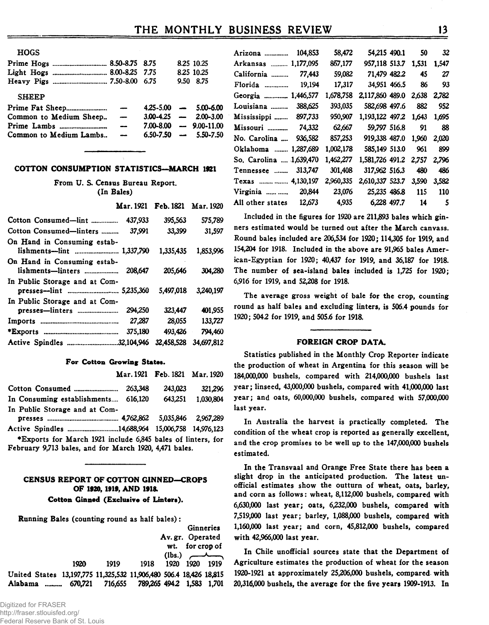| <b>HOGS</b>                |                          |  |                               |
|----------------------------|--------------------------|--|-------------------------------|
| Prime Hogs  8.50-8.75 8.75 |                          |  | 8.25 10.25                    |
| Light Hogs  8.00-8.25 7.75 |                          |  | 8.25 10.25                    |
|                            |                          |  | 9.50 8.75                     |
| <b>SHEEP</b>               |                          |  |                               |
|                            |                          |  | $4.25 - 5.00$ - $5.00 - 6.00$ |
| Common to Medium Sheep     | $\overline{\phantom{0}}$ |  | $3.00-4.25$ - $2.00-3.00$     |
|                            | $\overline{\phantom{a}}$ |  | $7.00 - 8.00$ - 9.00-11.00    |
| Common to Medium Lambs     | $\overline{\phantom{0}}$ |  | $6.50 - 7.50$ - 5.50 - 7.50   |
|                            |                          |  |                               |

#### **COTTON CONSUMPTION STATISTICS—MARCH 1921**

From U. S. Census Bureau Report. **(In Bales)**

|                                                            |         | Mar. 1921 Feb. 1821 Mar. 1920 |            |
|------------------------------------------------------------|---------|-------------------------------|------------|
| Cotton Consumed—lint                                       | 437,933 | 395.563                       | 575.789    |
| Cotton Consumed-linters                                    | 37.991  | 33,399                        | 31,597     |
| On Hand in Consuming estab-<br>lishments---lint  1,337,790 |         | 1,335,435                     | 1,853,996  |
| On Hand in Consuming estab-                                |         | 205,646                       | 304.280    |
| In Public Storage and at Com-                              |         | 5,497,018                     | 3,240,197  |
| In Public Storage and at Com-                              |         |                               |            |
|                                                            | 294,250 | 323.447                       | 401.955    |
|                                                            | 27,287  | 28.055                        | 133,727    |
|                                                            | 375.180 | 493.426                       | 794.460    |
| Active Spindles 32,104,946                                 |         | 32,458,528                    | 34.697.812 |

#### **For Cotton Growing States.**

|                                                  | Mar. 1921 Feb. 1821 Mar. 1920 |                   |
|--------------------------------------------------|-------------------------------|-------------------|
|                                                  | 243,023                       | 321.296           |
| In Consuming establishments 616,120              |                               | 643.251 1.030.804 |
| In Public Storage and at Com-                    |                               |                   |
|                                                  |                               |                   |
| Active Spindles 14,688,964 15,006,758 14,976,123 |                               |                   |

♦Exports for March 1921 include 6,845 bales of linters, for February 9,713 bales, and for March 1920, 4,471 bales.

# **CENSUS REPORT OF COTTON GINNED—CROPS OF 1920, 1919, AND 1918.**

# **Cotton Ginned (Exclusive of Linters).**

| <b>Running Bales (counting round as half bales):</b>               |         |      |                                   |      |                  |                    |
|--------------------------------------------------------------------|---------|------|-----------------------------------|------|------------------|--------------------|
|                                                                    |         |      |                                   |      |                  | Ginneries          |
|                                                                    |         |      |                                   |      | Av. gr. Operated |                    |
|                                                                    |         |      |                                   |      | wt. for crop of  |                    |
|                                                                    |         |      |                                   |      |                  | $(lbs.) \sim \sim$ |
|                                                                    | 1920    | 1919 | 1918                              | 1920 | - 1920           | 1919               |
| United States 13,197,775 11,325,532 11,906,480 506.4 18,426 18,815 |         |      |                                   |      |                  |                    |
| Alabama                                                            | 670.721 |      | 716,655 789,265 494.2 1,583 1,701 |      |                  |                    |

| Arizona<br>104,853          | 58,472    | 54,215 490.1    | 50    | 32    |
|-----------------------------|-----------|-----------------|-------|-------|
| Arkansas  1,177,095         | 867,177   | 957,118 513.7   | 1,531 | 1.547 |
| 77,443<br>California        | 59,082    | 71,479 482.2    | 45    | 27    |
| Florida<br>19,194           | 17,317    | 34,951 466.5    | 86    | 93    |
| Georgia  1,446,577          | 1,678,758 | 2,117,860 489.0 | 2,638 | 2,782 |
| 388,625<br>Louisiana        | 393,035   | 582,698 497.6   | 882   | 952   |
| Mississippi  897,733        | 950,907   | 1,193,122 497.2 | 1.643 | 1.695 |
| Missouri<br>74,332          | 62,667    | 59,797 516.8    | 91    | 88    |
| 936,582<br>No. Carolina     | 857,253   | 919,338 487.0   | 1.960 | 2,020 |
| 1.287.689<br>Oklahoma       | 1,002,178 | 585,149 513.0   | 961   | 899   |
| So. Carolina  1,639,470     | 1,462,277 | 1,581,726 491.2 | 2.757 | 2.796 |
| 313,747<br>Tennessee        | 301,408   | 317,962 516.3   | 480   | 486   |
| Texas   4,130,197           | 2,960,335 | 2,610,337 523.7 | 3,590 | 3,582 |
| 20,844<br>Virginia $\ldots$ | 23,076    | 25,235 486.8    | 115   | 110   |
| 12,673<br>All other states  | 4.935     | 6,228 497.7     | 14    | 5     |

Included in the figures for 1920 are 211,893 bales which ginners estimated would be turned out after the March canvass. Round bales included are 206,534 for 1920; 114,305 for 1919, and 154,204 for 1918. Included in the above are 91,965 bales American-Egyptian for 1920; 40,437 for 1919, and 36,187 for 1918. The number of sea-island bales included is 1,725 for 1920; 6,916 for 1919, and 52,208 for 1918.

The average gross weight of bale for the crop, counting round as half bales and excluding linters, is 506.4 pounds for 1920; 504.2 for 1919, and 505.6 for 1918.

#### **FOREIGN CROP DATA.**

Statistics published in the Monthly Crop Reporter indicate the production of wheat in Argentina for this season will be 184,000,000 bushels, compared with 214,000,000 bushels last year; linseed, 43,000,000 bushels, compared with 41,000,000 last year; and oats, 60,000,000 bushels, compared with 57,000,000 last year.

In Australia the harvest is practically completed. The condition of the wheat crop is reported as generally excellent, and the crop promises to be well up to the 147,000,000 bushels estimated.

In the Transvaal and Orange Free State there has been a slight drop in the anticipated production. The latest unofficial estimates show the outturn of wheat, oats, barley, and corn as follows: wheat, **8**,**112,000** bushels, compared with 6.630.000 last year; oats, 6,232,000 bushels, compared with 7.519.000 last year; barley, 1,088,000 bushels, compared with 1.160.000 last year; and corn, 45,812,000 bushels, compared with 42,966,000 last year.

1920 1919 1918 1920 1920 1919 Agriculture estimates the production of wheat for the season In Chile unofficial sources state that the Department of 1920-1921 at approximately 25,206,000 bushels, compared with 20.316.000 bushels, the average for the five years 1909-1913. In